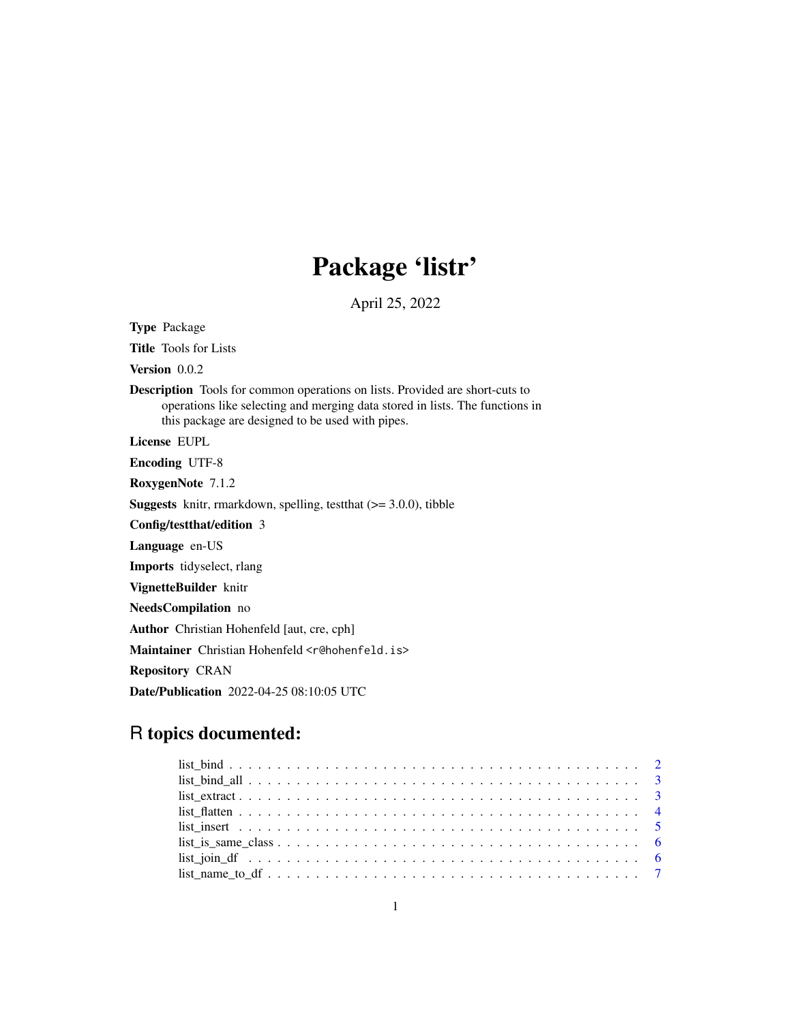## Package 'listr'

April 25, 2022

Type Package Title Tools for Lists Version 0.0.2 Description Tools for common operations on lists. Provided are short-cuts to operations like selecting and merging data stored in lists. The functions in this package are designed to be used with pipes. License EUPL Encoding UTF-8 RoxygenNote 7.1.2 **Suggests** knitr, rmarkdown, spelling, test that  $(>= 3.0.0)$ , tibble Config/testthat/edition 3 Language en-US Imports tidyselect, rlang VignetteBuilder knitr NeedsCompilation no Author Christian Hohenfeld [aut, cre, cph] Maintainer Christian Hohenfeld <r@hohenfeld.is> Repository CRAN Date/Publication 2022-04-25 08:10:05 UTC

## R topics documented: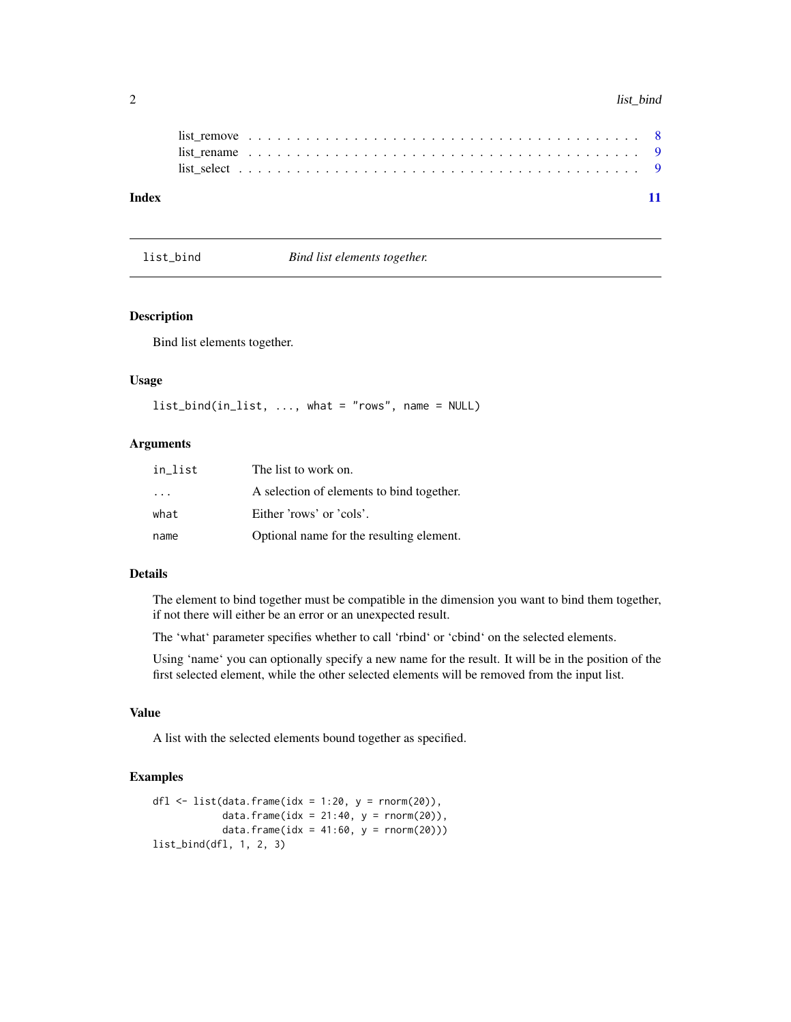#### 2 list\_bind

| Index |  |  |  |  |  |  |  |  |  |  |  |  |  |  |  |  |  |  |  |  |  |
|-------|--|--|--|--|--|--|--|--|--|--|--|--|--|--|--|--|--|--|--|--|--|
|       |  |  |  |  |  |  |  |  |  |  |  |  |  |  |  |  |  |  |  |  |  |
|       |  |  |  |  |  |  |  |  |  |  |  |  |  |  |  |  |  |  |  |  |  |
|       |  |  |  |  |  |  |  |  |  |  |  |  |  |  |  |  |  |  |  |  |  |
|       |  |  |  |  |  |  |  |  |  |  |  |  |  |  |  |  |  |  |  |  |  |

list\_bind *Bind list elements together.*

#### Description

Bind list elements together.

#### Usage

```
list_bind(in_list, ..., what = "rows", name = NULL)
```
## Arguments

| in list                 | The list to work on.                      |
|-------------------------|-------------------------------------------|
| $\cdot$ $\cdot$ $\cdot$ | A selection of elements to bind together. |
| what                    | Either 'rows' or 'cols'.                  |
| name                    | Optional name for the resulting element.  |

#### Details

The element to bind together must be compatible in the dimension you want to bind them together, if not there will either be an error or an unexpected result.

The 'what' parameter specifies whether to call 'rbind' or 'cbind' on the selected elements.

Using 'name' you can optionally specify a new name for the result. It will be in the position of the first selected element, while the other selected elements will be removed from the input list.

## Value

A list with the selected elements bound together as specified.

```
dfl \leftarrow list(data.frame(idx = 1:20, y = rnorm(20)),
            data.frame(idx = 21:40, y = rnorm(20)),
            data.frame(idx = 41:60, y = rnorm(20)))
list_bind(dfl, 1, 2, 3)
```
<span id="page-1-0"></span>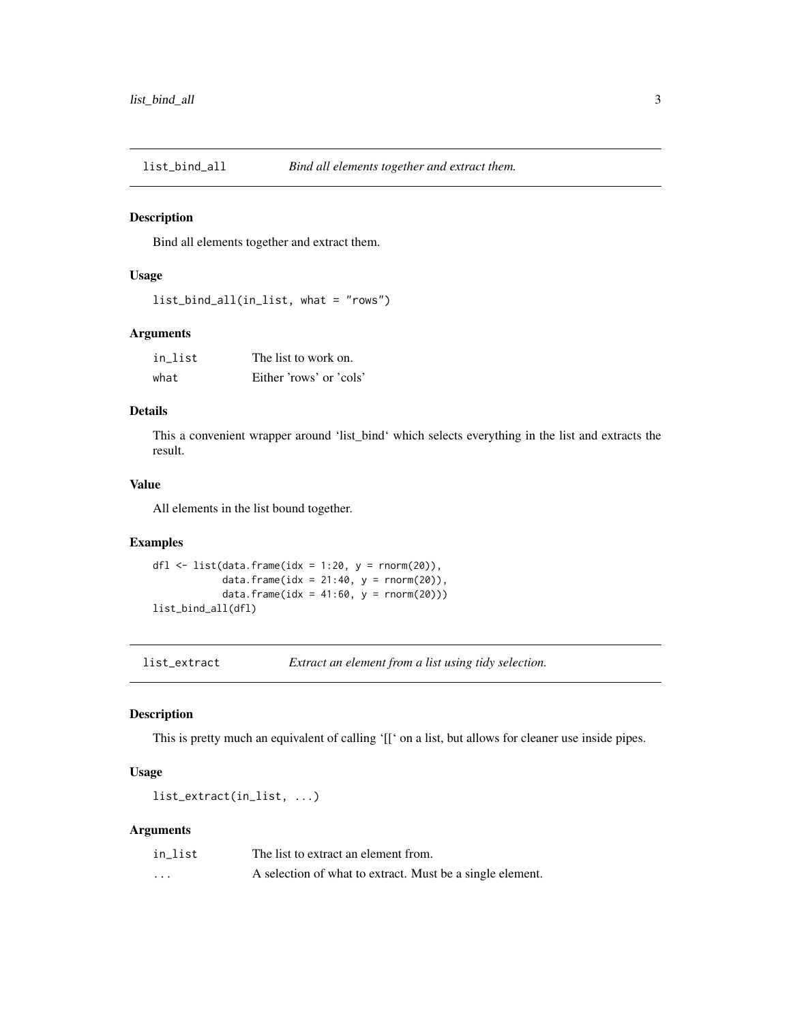<span id="page-2-0"></span>

#### Description

Bind all elements together and extract them.

#### Usage

```
list_bind_all(in_list, what = "rows")
```
## Arguments

| in list | The list to work on.    |
|---------|-------------------------|
| what    | Either 'rows' or 'cols' |

## Details

This a convenient wrapper around 'list\_bind' which selects everything in the list and extracts the result.

#### Value

All elements in the list bound together.

#### Examples

```
dfl \leftarrow list(data.frame(idx = 1:20, y = rnorm(20)),
            data.frame(idx = 21:40, y = rnorm(20)),
            data.frame(idx = 41:60, y = rnorm(20)))
list_bind_all(dfl)
```
list\_extract *Extract an element from a list using tidy selection.*

#### Description

This is pretty much an equivalent of calling '[[' on a list, but allows for cleaner use inside pipes.

#### Usage

```
list_extract(in_list, ...)
```
#### Arguments

| in list | The list to extract an element from.                      |
|---------|-----------------------------------------------------------|
| $\cdot$ | A selection of what to extract. Must be a single element. |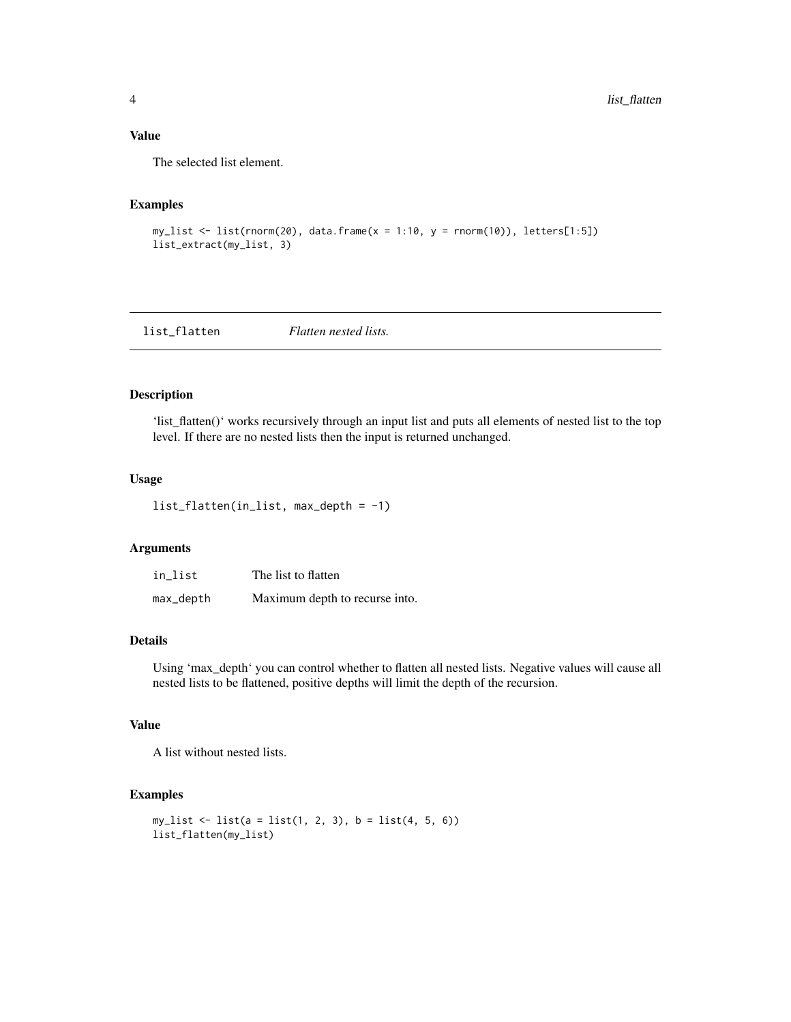## <span id="page-3-0"></span>Value

The selected list element.

## Examples

```
my\_list \leftarrow list(rnorm(20), data-frame(x = 1:10, y = rnorm(10)), letters[1:5])list_extract(my_list, 3)
```
list\_flatten *Flatten nested lists.*

#### Description

'list\_flatten()' works recursively through an input list and puts all elements of nested list to the top level. If there are no nested lists then the input is returned unchanged.

#### Usage

```
list_flatten(in_list, max_depth = -1)
```
#### Arguments

| in_list   | The list to flatten            |
|-----------|--------------------------------|
| max_depth | Maximum depth to recurse into. |

#### Details

Using 'max\_depth' you can control whether to flatten all nested lists. Negative values will cause all nested lists to be flattened, positive depths will limit the depth of the recursion.

#### Value

A list without nested lists.

```
my\_list \leftarrow list(a = list(1, 2, 3), b = list(4, 5, 6))list_flatten(my_list)
```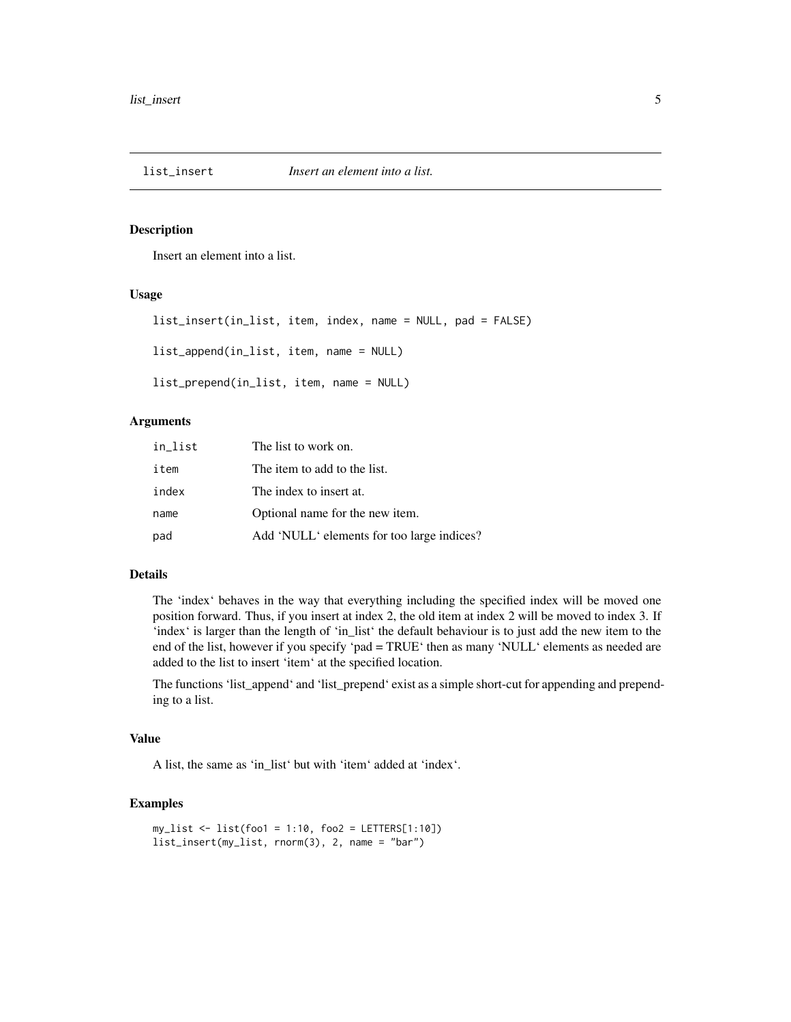<span id="page-4-0"></span>

#### Description

Insert an element into a list.

#### Usage

list\_insert(in\_list, item, index, name = NULL, pad = FALSE) list\_append(in\_list, item, name = NULL)

list\_prepend(in\_list, item, name = NULL)

## Arguments

| in list | The list to work on.                       |
|---------|--------------------------------------------|
| item    | The item to add to the list.               |
| index   | The index to insert at.                    |
| name    | Optional name for the new item.            |
| pad     | Add 'NULL' elements for too large indices? |

## Details

The 'index' behaves in the way that everything including the specified index will be moved one position forward. Thus, if you insert at index 2, the old item at index 2 will be moved to index 3. If 'index' is larger than the length of 'in\_list' the default behaviour is to just add the new item to the end of the list, however if you specify 'pad = TRUE' then as many 'NULL' elements as needed are added to the list to insert 'item' at the specified location.

The functions 'list\_append' and 'list\_prepend' exist as a simple short-cut for appending and prepending to a list.

#### Value

A list, the same as 'in\_list' but with 'item' added at 'index'.

```
my_list <- list(foo1 = 1:10, foo2 = LETTERS[1:10])
list_insert(my_list, rnorm(3), 2, name = "bar")
```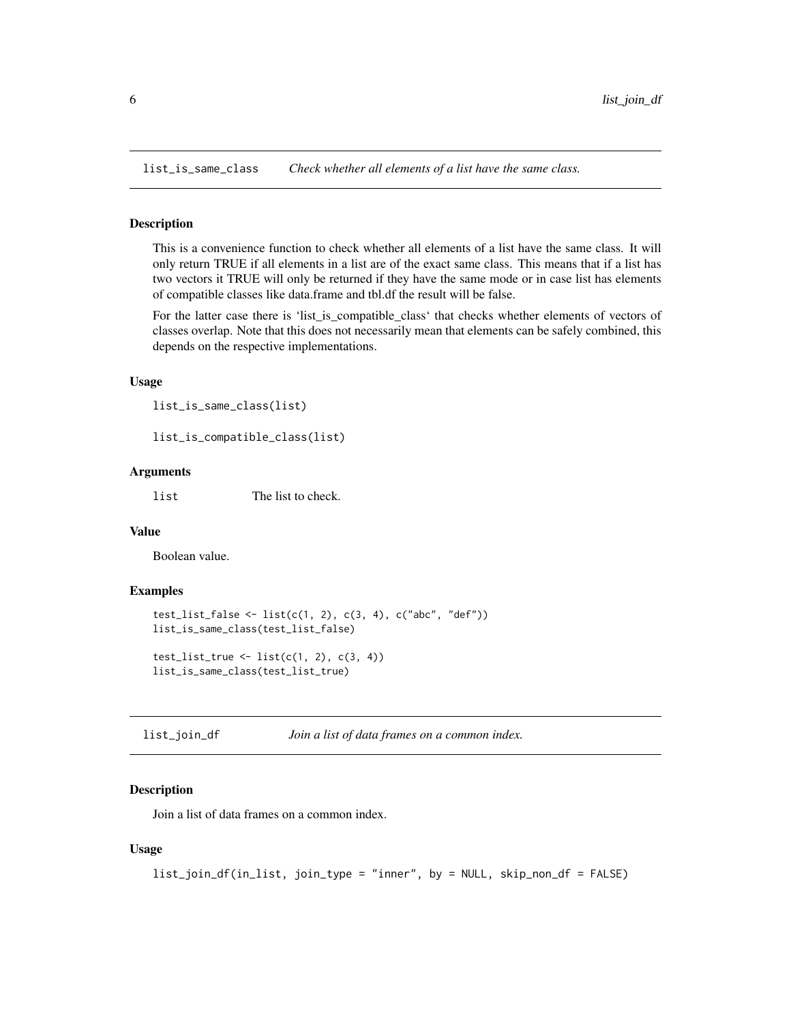<span id="page-5-0"></span>list\_is\_same\_class *Check whether all elements of a list have the same class.*

#### Description

This is a convenience function to check whether all elements of a list have the same class. It will only return TRUE if all elements in a list are of the exact same class. This means that if a list has two vectors it TRUE will only be returned if they have the same mode or in case list has elements of compatible classes like data.frame and tbl.df the result will be false.

For the latter case there is 'list\_is\_compatible\_class' that checks whether elements of vectors of classes overlap. Note that this does not necessarily mean that elements can be safely combined, this depends on the respective implementations.

#### Usage

```
list_is_same_class(list)
```

```
list_is_compatible_class(list)
```
#### Arguments

list The list to check.

#### Value

Boolean value.

#### Examples

```
test_list_false <- list(c(1, 2), c(3, 4), c("abc", "def"))
list_is_same_class(test_list_false)
test_list_true \leftarrow list(c(1, 2), c(3, 4))
list_is_same_class(test_list_true)
```
list\_join\_df *Join a list of data frames on a common index.*

#### **Description**

Join a list of data frames on a common index.

#### Usage

```
list_join_df(in_list, join_type = "inner", by = NULL, skip_non_df = FALSE)
```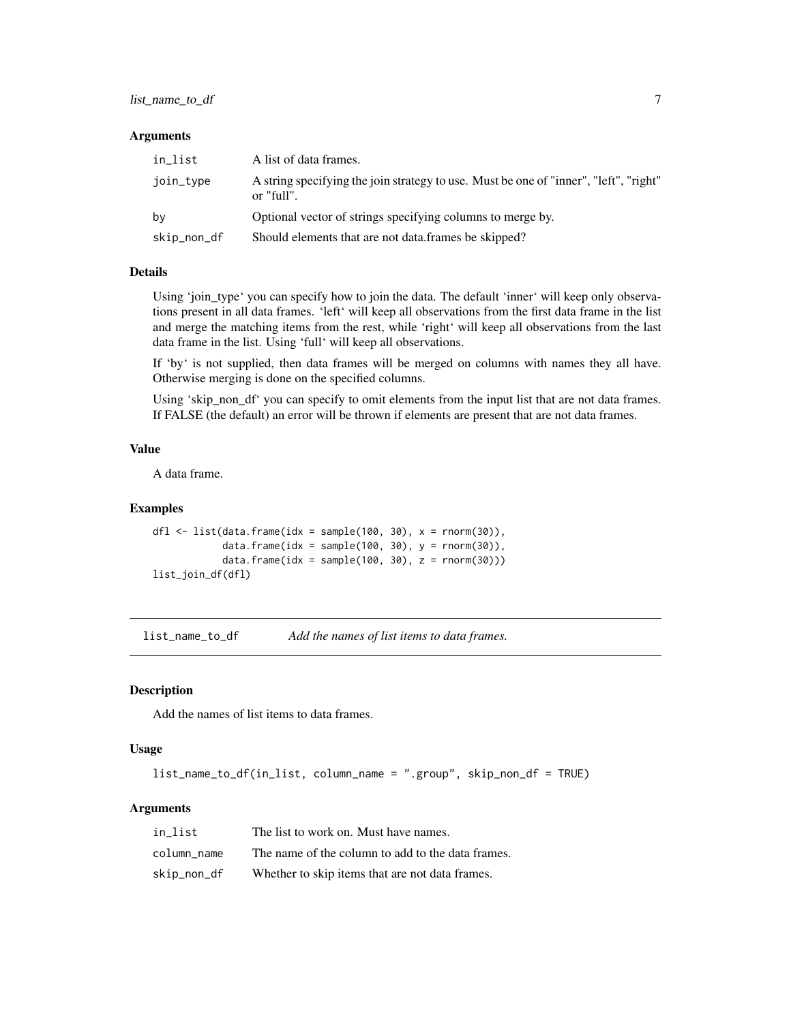#### <span id="page-6-0"></span>**Arguments**

| in list     | A list of data frames.                                                                              |
|-------------|-----------------------------------------------------------------------------------------------------|
| join_type   | A string specifying the join strategy to use. Must be one of "inner", "left", "right"<br>or "full". |
| bν          | Optional vector of strings specifying columns to merge by.                                          |
| skip_non_df | Should elements that are not data, frames be skipped?                                               |

#### Details

Using 'join\_type' you can specify how to join the data. The default 'inner' will keep only observations present in all data frames. 'left' will keep all observations from the first data frame in the list and merge the matching items from the rest, while 'right' will keep all observations from the last data frame in the list. Using 'full' will keep all observations.

If 'by' is not supplied, then data frames will be merged on columns with names they all have. Otherwise merging is done on the specified columns.

Using 'skip\_non\_df' you can specify to omit elements from the input list that are not data frames. If FALSE (the default) an error will be thrown if elements are present that are not data frames.

#### Value

A data frame.

#### Examples

```
dfl \le list(data.frame(idx = sample(100, 30), x = rnorm(30)),
            data.frame(idx = sample(100, 30), y = rnorm(30)),
            data.frame(idx = sample(100, 30), z = rnorm(30)))
list_join_df(dfl)
```
list\_name\_to\_df *Add the names of list items to data frames.*

#### Description

Add the names of list items to data frames.

#### Usage

list\_name\_to\_df(in\_list, column\_name = ".group", skip\_non\_df = TRUE)

#### Arguments

| in list     | The list to work on. Must have names.             |
|-------------|---------------------------------------------------|
| column name | The name of the column to add to the data frames. |
| skip_non_df | Whether to skip items that are not data frames.   |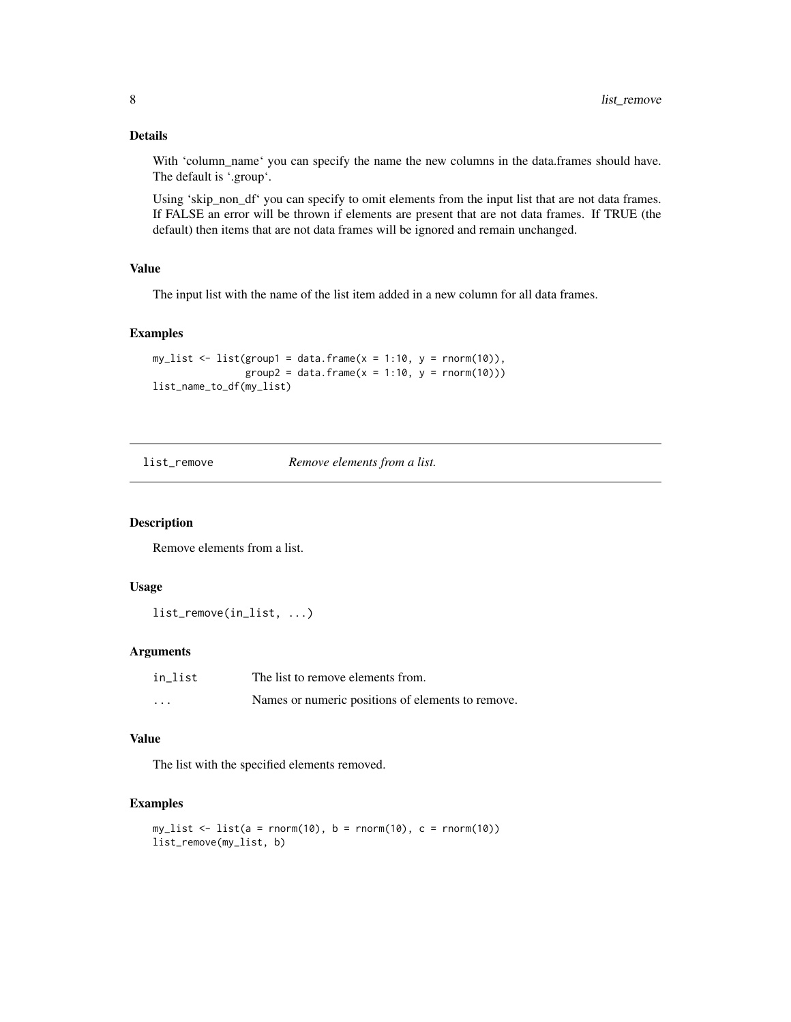#### Details

With 'column\_name' you can specify the name the new columns in the data.frames should have. The default is '.group'.

Using 'skip\_non\_df' you can specify to omit elements from the input list that are not data frames. If FALSE an error will be thrown if elements are present that are not data frames. If TRUE (the default) then items that are not data frames will be ignored and remain unchanged.

#### Value

The input list with the name of the list item added in a new column for all data frames.

#### Examples

```
my_list \leftarrow list(group1 = data.frame(x = 1:10, y = rnorm(10)),group2 = data frame(x = 1:10, y = rnorm(10)))list_name_to_df(my_list)
```
list\_remove *Remove elements from a list.*

#### Description

Remove elements from a list.

#### Usage

list\_remove(in\_list, ...)

#### Arguments

| in list  | The list to remove elements from.                 |
|----------|---------------------------------------------------|
| $\cdots$ | Names or numeric positions of elements to remove. |

#### Value

The list with the specified elements removed.

```
my\_list \leftarrow list(a = norm(10), b = norm(10), c = norm(10))list_remove(my_list, b)
```
<span id="page-7-0"></span>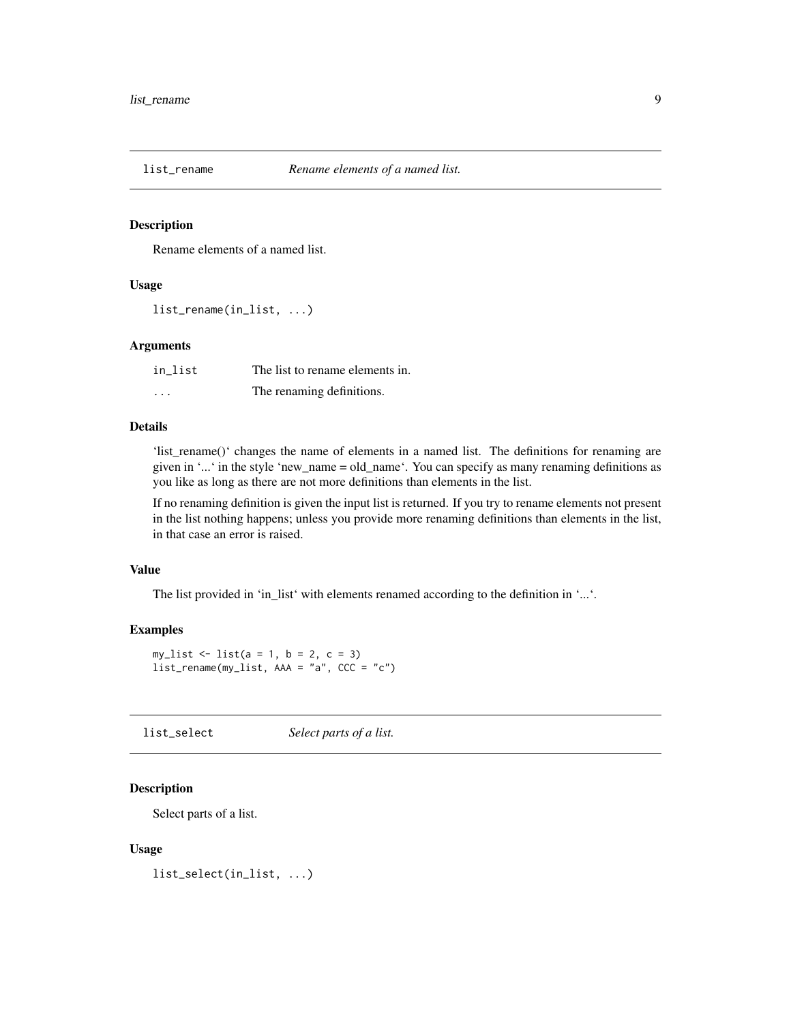<span id="page-8-0"></span>

#### Description

Rename elements of a named list.

#### Usage

list\_rename(in\_list, ...)

#### Arguments

| in list  | The list to rename elements in. |
|----------|---------------------------------|
| $\cdots$ | The renaming definitions.       |

#### Details

'list\_rename()' changes the name of elements in a named list. The definitions for renaming are given in '...' in the style 'new\_name = old\_name'. You can specify as many renaming definitions as you like as long as there are not more definitions than elements in the list.

If no renaming definition is given the input list is returned. If you try to rename elements not present in the list nothing happens; unless you provide more renaming definitions than elements in the list, in that case an error is raised.

#### Value

The list provided in 'in\_list' with elements renamed according to the definition in '...'.

#### Examples

```
my_list <- list(a = 1, b = 2, c = 3)
list_rename(my_list, AAA = "a", CCC = "c")
```
list\_select *Select parts of a list.*

## Description

Select parts of a list.

#### Usage

list\_select(in\_list, ...)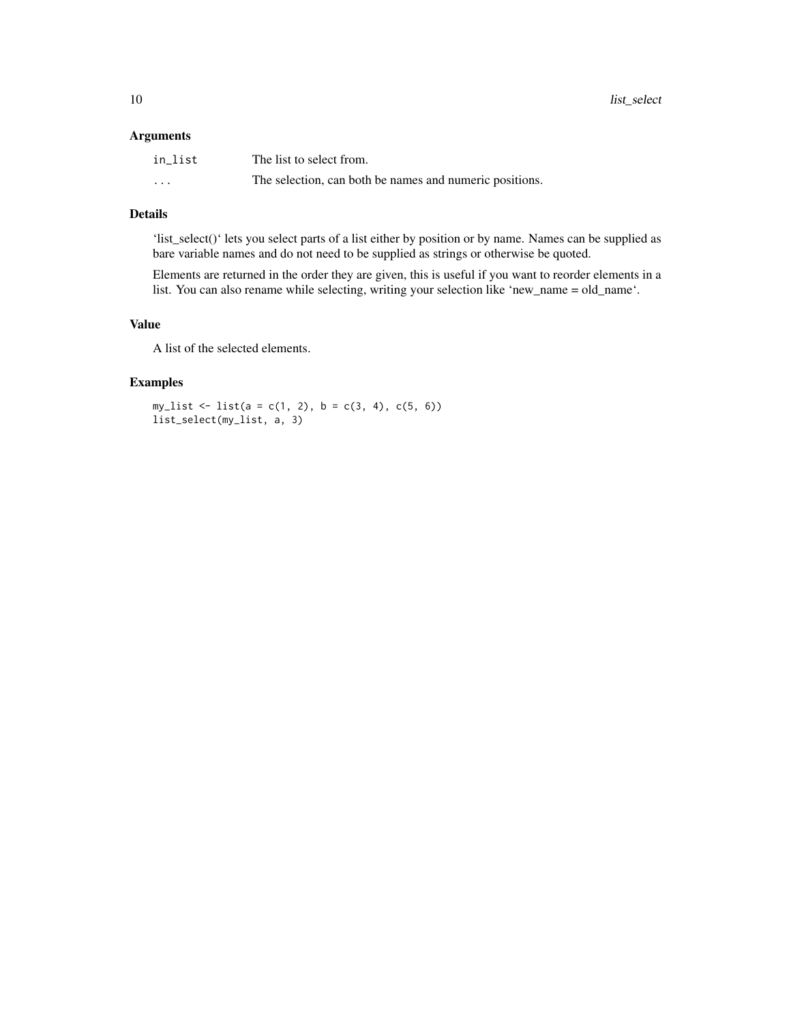#### Arguments

| in list  | The list to select from.                                |
|----------|---------------------------------------------------------|
| $\cdots$ | The selection, can both be names and numeric positions. |

## Details

'list\_select()' lets you select parts of a list either by position or by name. Names can be supplied as bare variable names and do not need to be supplied as strings or otherwise be quoted.

Elements are returned in the order they are given, this is useful if you want to reorder elements in a list. You can also rename while selecting, writing your selection like 'new\_name = old\_name'.

#### Value

A list of the selected elements.

## Examples

 $my\_list \leftarrow list(a = c(1, 2), b = c(3, 4), c(5, 6))$ list\_select(my\_list, a, 3)